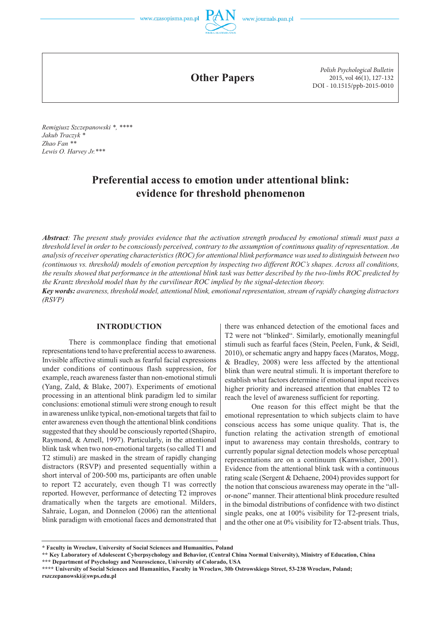**Other Papers**

*Polish Psychological Bulletin* 2015, vol 46(1), 127-132 DOI - 10.1515/ppb-2015-0010

*Remigiusz Szczepanowski \*, \*\*\*\* Jakub Traczyk \* Zhao Fan \*\* Lewis O. Harvey Jr.\*\*\** 

# **Preferential access to emotion under attentional blink: evidence for threshold phenomenon**

*Abstract: The present study provides evidence that the activation strength produced by emotional stimuli must pass a threshold level in order to be consciously perceived, contrary to the assumption of continuous quality of representation. An analysis of receiver operating characteristics (ROC) for attentional blink performance was used to distinguish between two (continuous vs. threshold) models of emotion perception by inspecting two different ROC's shapes. Across all conditions, the results showed that performance in the attentional blink task was better described by the two-limbs ROC predicted by the Krantz threshold model than by the curvilinear ROC implied by the signal-detection theory.* 

*Key words: awareness, threshold model, attentional blink, emotional representation, stream of rapidly changing distractors (RSVP)*

#### **INTRODUCTION**

There is commonplace finding that emotional representations tend to have preferential access to awareness. Invisible affective stimuli such as fearful facial expressions under conditions of continuous flash suppression, for example, reach awareness faster than non-emotional stimuli (Yang, Zald, & Blake, 2007). Experiments of emotional processing in an attentional blink paradigm led to similar conclusions: emotional stimuli were strong enough to result in awareness unlike typical, non-emotional targets that fail to enter awareness even though the attentional blink conditions suggested that they should be consciously reported (Shapiro, Raymond, & Arnell, 1997). Particularly, in the attentional blink task when two non-emotional targets (so called T1 and T2 stimuli) are masked in the stream of rapidly changing distractors (RSVP) and presented sequentially within a short interval of 200-500 ms, participants are often unable to report T2 accurately, even though T1 was correctly reported. However, performance of detecting T2 improves dramatically when the targets are emotional. Milders, Sahraie, Logan, and Donnelon (2006) ran the attentional blink paradigm with emotional faces and demonstrated that there was enhanced detection of the emotional faces and T2 were not "blinked". Similarly, emotionally meaningful stimuli such as fearful faces (Stein, Peelen, Funk, & Seidl, 2010), or schematic angry and happy faces (Maratos, Mogg, & Bradley, 2008) were less affected by the attentional blink than were neutral stimuli. It is important therefore to establish what factors determine if emotional input receives higher priority and increased attention that enables T2 to reach the level of awareness sufficient for reporting.

One reason for this effect might be that the emotional representation to which subjects claim to have conscious access has some unique quality. That is, the function relating the activation strength of emotional input to awareness may contain thresholds, contrary to currently popular signal detection models whose perceptual representations are on a continuum (Kanwisher, 2001). Evidence from the attentional blink task with a continuous rating scale (Sergent & Dehaene, 2004) provides support for the notion that conscious awareness may operate in the "allor-none" manner. Their attentional blink procedure resulted in the bimodal distributions of confidence with two distinct single peaks, one at 100% visibility for T2-present trials, and the other one at 0% visibility for T2-absent trials. Thus,

**<sup>\*</sup> Faculty in Wroclaw, University of Social Sciences and Humanities, Poland**

**<sup>\*\*</sup> Key Laboratory of Adolescent Cyberpsychology and Behavior, (Central China Normal University), Ministry of Education, China \*\*\* Department of Psychology and Neuroscience, University of Colorado, USA**

**<sup>\*\*\*\*</sup> University of Social Sciences and Humanities, Faculty in Wroclaw, 30b Ostrowskiego Street, 53-238 Wroclaw, Poland; rszczepanowski@swps.edu.pl**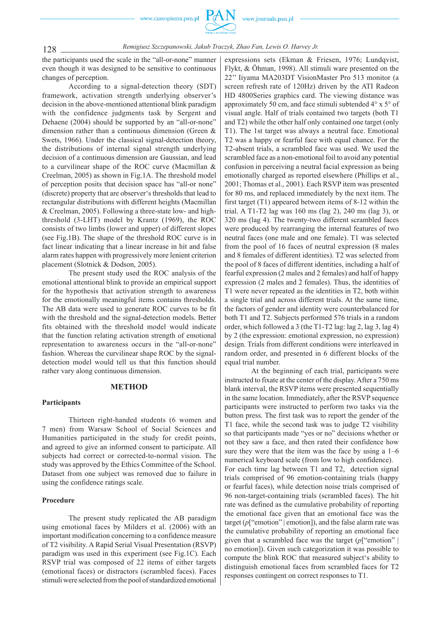www.czasopisma.pan.pl



*Remigiusz Szczepanowski, Jakub Traczyk, Zhao Fan, Lewis O. Harvey Jr.*

the participants used the scale in the "all-or-none" manner even though it was designed to be sensitive to continuous changes of perception.

According to a signal-detection theory (SDT) framework, activation strength underlying observer's decision in the above-mentioned attentional blink paradigm with the confidence judgments task by Sergent and Dehaene (2004) should be supported by an "all-or-none" dimension rather than a continuous dimension (Green & Swets, 1966). Under the classical signal-detection theory, the distributions of internal signal strength underlying decision of a continuous dimension are Gaussian, and lead to a curvilinear shape of the ROC curve (Macmillan & Creelman, 2005) as shown in Fig.1A. The threshold model of perception posits that decision space has "all-or none" (discrete) property that are observer's thresholds that lead to rectangular distributions with different heights (Macmillan & Creelman, 2005). Following a three-state low- and highthreshold (3-LHT) model by Krantz (1969), the ROC consists of two limbs (lower and upper) of different slopes (see Fig.1B). The shape of the threshold ROC curve is in fact linear indicating that a linear increase in hit and false alarm rates happen with progressively more lenient criterion placement (Slotnick & Dodson, 2005).

The present study used the ROC analysis of the emotional attentional blink to provide an empirical support for the hypothesis that activation strength to awareness for the emotionally meaningful items contains thresholds. The AB data were used to generate ROC curves to be fit with the threshold and the signal-detection models. Better fits obtained with the threshold model would indicate that the function relating activation strength of emotional representation to awareness occurs in the "all-or-none" fashion. Whereas the curvilinear shape ROC by the signaldetection model would tell us that this function should rather vary along continuous dimension.

#### **METHOD**

#### **Participants**

Thirteen right-handed students (6 women and 7 men) from Warsaw School of Social Sciences and Humanities participated in the study for credit points, and agreed to give an informed consent to participate. All subjects had correct or corrected-to-normal vision. The study was approved by the Ethics Committee of the School. Dataset from one subject was removed due to failure in using the confidence ratings scale.

#### **Procedure**

The present study replicated the AB paradigm using emotional faces by Milders et al. (2006) with an important modification concerning to a confidence measure of T2 visibility. A Rapid Serial Visual Presentation (RSVP) paradigm was used in this experiment (see Fig.1C). Each RSVP trial was composed of 22 items of either targets (emotional faces) or distractors (scrambled faces). Faces stimuli were selected from the pool of standardized emotional expressions sets (Ekman & Friesen, 1976; Lundqvist, Flykt, & Öhman, 1998). All stimuli ware presented on the 22'' Iiyama MA203DT VisionMaster Pro 513 monitor (a screen refresh rate of 120Hz) driven by the ATI Radeon HD 4800Series graphics card. The viewing distance was approximately 50 cm, and face stimuli subtended 4° x 5° of visual angle. Half of trials contained two targets (both T1 and T2) while the other half only contained one target (only T1). The 1st target was always a neutral face. Emotional T2 was a happy or fearful face with equal chance. For the T2-absent trials, a scrambled face was used. We used the scrambled face as a non-emotional foil to avoid any potential confusion in perceiving a neutral facial expression as being emotionally charged as reported elsewhere (Phillips et al., 2001; Thomas et al., 2001). Each RSVP item was presented for 80 ms, and replaced immediately by the next item. The first target (T1) appeared between items of 8-12 within the trial. A T1-T2 lag was 160 ms (lag 2), 240 ms (lag 3), or 320 ms (lag 4). The twenty-two different scrambled faces were produced by rearranging the internal features of two neutral faces (one male and one female). T1 was selected from the pool of 16 faces of neutral expression (8 males and 8 females of different identities). T2 was selected from the pool of 8 faces of different identities, including a half of fearful expression (2 males and 2 females) and half of happy expression (2 males and 2 females). Thus, the identities of T1 were never repeated as the identities in T2, both within a single trial and across different trials. At the same time, the factors of gender and identity were counterbalanced for both T1 and T2. Subjects performed 576 trials in a random order, which followed a 3 (the T1-T2 lag: lag 2, lag 3, lag 4) by 2 (the expression: emotional expression, no expression) design. Trials from different conditions were interleaved in random order, and presented in 6 different blocks of the equal trial number.

At the beginning of each trial, participants were instructed to fixate at the center of the display. After a 750 ms blank interval, the RSVP items were presented sequentially in the same location. Immediately, after the RSVP sequence participants were instructed to perform two tasks via the button press. The first task was to report the gender of the T1 face, while the second task was to judge T2 visibility so that participants made "yes or no" decisions whether or not they saw a face, and then rated their confidence how sure they were that the item was the face by using a 1–6 numerical keyboard scale (from low to high confidence). For each time lag between T1 and T2, detection signal trials comprised of 96 emotion-containing trials (happy or fearful faces), while detection noise trials comprised of 96 non-target-containing trials (scrambled faces). The hit rate was defined as the cumulative probability of reporting the emotional face given that an emotional face was the target  $(p$ ["emotion" | emotion]), and the false alarm rate was the cumulative probability of reporting an emotional face given that a scrambled face was the target (*p*["emotion" | no emotion]). Given such categorization it was possible to compute the blink ROC that measured subject's ability to distinguish emotional faces from scrambled faces for T2 responses contingent on correct responses to T1.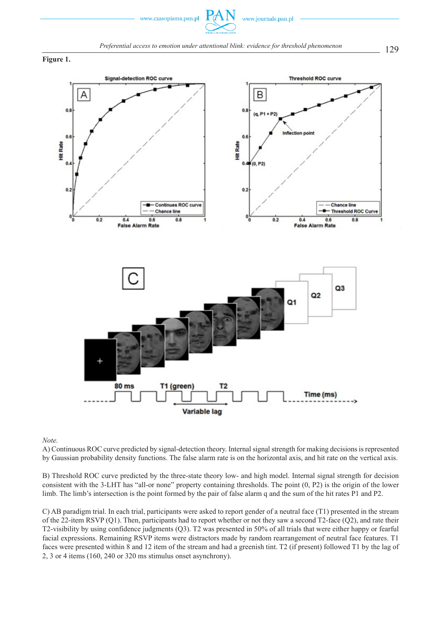



**Figure 1.** 



#### *Note.*

A) Continuous ROC curve predicted by signal-detection theory. Internal signal strength for making decisions is represented by Gaussian probability density functions. The false alarm rate is on the horizontal axis, and hit rate on the vertical axis.

B) Threshold ROC curve predicted by the three-state theory low- and high model. Internal signal strength for decision consistent with the 3-LHT has "all-or none" property containing thresholds. The point (0, P2) is the origin of the lower limb. The limb's intersection is the point formed by the pair of false alarm q and the sum of the hit rates P1 and P2.

C) AB paradigm trial. In each trial, participants were asked to report gender of a neutral face (T1) presented in the stream of the 22-item RSVP (Q1). Then, participants had to report whether or not they saw a second T2-face (Q2), and rate their T2-visibility by using confidence judgments (Q3). T2 was presented in 50% of all trials that were either happy or fearful facial expressions. Remaining RSVP items were distractors made by random rearrangement of neutral face features. T1 faces were presented within 8 and 12 item of the stream and had a greenish tint. T2 (if present) followed T1 by the lag of 2, 3 or 4 items (160, 240 or 320 ms stimulus onset asynchrony).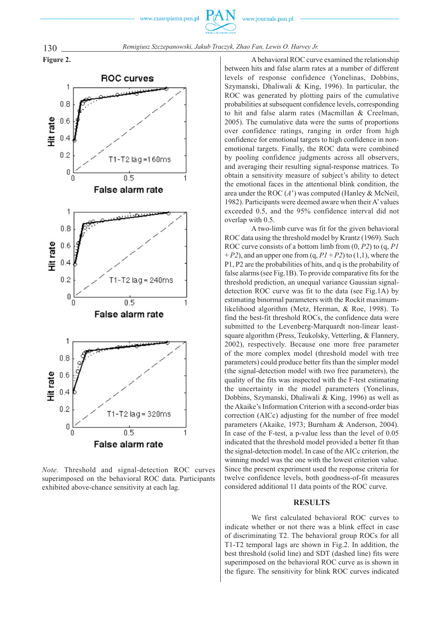www.czasopisma.pan.pl





*Note.* Threshold and signal-detection ROC curves superimposed on the behavioral ROC data. Participants exhibited above-chance sensitivity at each lag.

A behavioral ROC curve examined the relationship between hits and false alarm rates at a number of different levels of response confidence (Yonelinas, Dobbins, Szymanski, Dhaliwali & King, 1996). In particular, the ROC was generated by plotting pairs of the cumulative probabilities at subsequent confidence levels, corresponding to hit and false alarm rates (Macmillan & Creelman, 2005). The cumulative data were the sums of proportions over confidence ratings, ranging in order from high confidence for emotional targets to high confidence in nonemotional targets. Finally, the ROC data were combined by pooling confidence judgments across all observers, and averaging their resulting signal-response matrices. To obtain a sensitivity measure of subject's ability to detect the emotional faces in the attentional blink condition, the area under the ROC (*A*') was computed (Hanley & McNeil, 1982). Participants were deemed aware when their A' values exceeded 0.5, and the 95% confidence interval did not overlap with 0.5.

A two-limb curve was fit for the given behavioral ROC data using the threshold model by Krantz (1969). Such ROC curve consists of a bottom limb from (0, *P2*) to (q, *P1*   $+ P2$ ), and an upper one from  $(q, P1 + P2)$  to  $(1,1)$ , where the P1, P2 are the probabilities of hits, and q is the probability of false alarms (see Fig.1B). To provide comparative fits for the threshold prediction, an unequal variance Gaussian signaldetection ROC curve was fit to the data (see Fig.1A) by estimating binormal parameters with the Rockit maximumlikelihood algorithm (Metz, Herman, & Roe, 1998). To find the best-fit threshold ROCs, the confidence data were submitted to the Levenberg-Marquardt non-linear leastsquare algorithm (Press, Teukolsky, Vetterling, & Flannery, 2002), respectively. Because one more free parameter of the more complex model (threshold model with tree parameters) could produce better fits than the simpler model (the signal-detection model with two free parameters), the quality of the fits was inspected with the F-test estimating the uncertainty in the model parameters (Yonelinas, Dobbins, Szymanski, Dhaliwali & King, 1996) as well as the Akaike's Information Criterion with a second-order bias correction (AICc) adjusting for the number of free model parameters (Akaike, 1973; Burnham & Anderson, 2004). In case of the F-test, a p-value less than the level of 0.05 indicated that the threshold model provided a better fit than the signal-detection model. In case of the AICc criterion, the winning model was the one with the lowest criterion value. Since the present experiment used the response criteria for twelve confidence levels, both goodness-of-fit measures considered additional 11 data points of the ROC curve.

### **RESULTS**

We first calculated behavioral ROC curves to indicate whether or not there was a blink effect in case of discriminating T2. The behavioral group ROCs for all T1-T2 temporal lags are shown in Fig.2. In addition, the best threshold (solid line) and SDT (dashed line) fits were superimposed on the behavioral ROC curve as is shown in the figure. The sensitivity for blink ROC curves indicated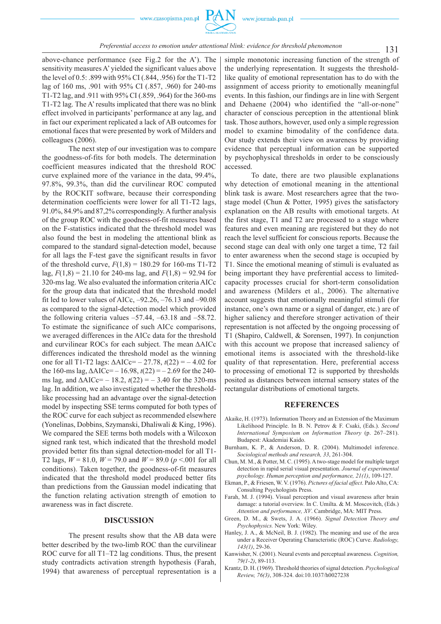## 131 *Preferential access to emotion under attentional blink: evidence for threshold phenomenon*

above-chance performance (see Fig.2 for the A'). The sensitivity measures A' yielded the significant values above the level of 0.5: .899 with 95% CI (.844, .956) for the T1-T2 lag of 160 ms, .901 with 95% CI (.857, .960) for 240-ms T1-T2 lag, and .911 with 95% CI (.859, .964) for the 360-ms T1-T2 lag. The A' results implicated that there was no blink effect involved in participants' performance at any lag, and in fact our experiment replicated a lack of AB outcomes for emotional faces that were presented by work of Milders and colleagues (2006).

The next step of our investigation was to compare the goodness-of-fits for both models. The determination coefficient measures indicated that the threshold ROC curve explained more of the variance in the data, 99.4%, 97.8%, 99.3%, than did the curvilinear ROC computed by the ROCKIT software, because their corresponding determination coefficients were lower for all T1-T2 lags, 91.0%, 84.9% and 87,2% correspondingly. A further analysis of the group ROC with the goodness-of-fit measures based on the F-statistics indicated that the threshold model was also found the best in modeling the attentional blink as compared to the standard signal-detection model, because for all lags the F-test gave the significant results in favor of the threshold curve,  $F(1,8) = 180.29$  for 160-ms T1-T2 lag, *F*(1,8) = 21.10 for 240-ms lag, and *F*(1,8) = 92.94 for 320-ms lag. We also evaluated the information criteria AICc for the group data that indicated that the threshold model fit led to lower values of AICc,  $-92.26$ ,  $-76.13$  and  $-90.08$ as compared to the signal-detection model which provided the following criteria values  $-57.44$ ,  $-63.18$  and  $-58.72$ . To estimate the significance of such AICc comparisons, we averaged differences in the AICc data for the threshold and curvilinear ROCs for each subject. The mean ΔAICc differences indicated the threshold model as the winning one for all T1-T2 lags: ΔAICc= – 27.78, *t*(22) = – 4.02 for the 160-ms lag, ΔAICc= – 16.98, *t*(22) = – 2.69 for the 240 ms lag, and  $\triangle$ AICc= – 18.2,  $t(22) = -3.40$  for the 320-ms lag. In addition, we also investigated whether the thresholdlike processing had an advantage over the signal-detection model by inspecting SSE terms computed for both types of the ROC curve for each subject as recommended elsewhere (Yonelinas, Dobbins, Szymanski, Dhaliwali & King, 1996). We compared the SEE terms both models with a Wilcoxon signed rank test, which indicated that the threshold model provided better fits than signal detection-model for all T1- T2 lags,  $W = 81.0$ ,  $W = 79.0$  and  $W = 89.0$  ( $p < 0.01$  for all conditions). Taken together, the goodness-of-fit measures indicated that the threshold model produced better fits than predictions from the Gaussian model indicating that the function relating activation strength of emotion to awareness was in fact discrete.

## **DISCUSSION**

The present results show that the AB data were better described by the two-limb ROC than the curvilinear ROC curve for all T1–T2 lag conditions. Thus, the present study contradicts activation strength hypothesis (Farah, 1994) that awareness of perceptual representation is a

simple monotonic increasing function of the strength of the underlying representation. It suggests the thresholdlike quality of emotional representation has to do with the assignment of access priority to emotionally meaningful events. In this fashion, our findings are in line with Sergent and Dehaene (2004) who identified the "all-or-none" character of conscious perception in the attentional blink task. Those authors, however, used only a simple regression model to examine bimodality of the confidence data. Our study extends their view on awareness by providing evidence that perceptual information can be supported by psychophysical thresholds in order to be consciously accessed.

To date, there are two plausible explanations why detection of emotional meaning in the attentional blink task is aware. Most researchers agree that the twostage model (Chun & Potter, 1995) gives the satisfactory explanation on the AB results with emotional targets. At the first stage, T1 and T2 are processed to a stage where features and even meaning are registered but they do not reach the level sufficient for conscious reports. Because the second stage can deal with only one target a time, T2 fail to enter awareness when the second stage is occupied by T1. Since the emotional meaning of stimuli is evaluated as being important they have preferential access to limitedcapacity processes crucial for short-term consolidation and awareness (Milders et al., 2006). The alternative account suggests that emotionally meaningful stimuli (for instance, one's own name or a signal of danger, etc.) are of higher saliency and therefore stronger activation of their representation is not affected by the ongoing processing of T1 (Shapiro, Caldwell, & Sorensen, 1997). In conjunction with this account we propose that increased saliency of emotional items is associated with the threshold-like quality of that representation. Here, preferential access to processing of emotional T2 is supported by thresholds posited as distances between internal sensory states of the rectangular distributions of emotional targets.

#### **REFERENCES**

- Akaike, H. (1973). Information Theory and an Extension of the Maximum Likelihood Principle. In B. N. Petrov & F. Csaki, (Eds.). *Second International Symposium on Information Theory* (p. 267–281). Budapest: Akademiai Kaido.
- Burnham, K. P., & Anderson, D. R. (2004). Multimodel inference. *Sociological methods and research, 33*, 261-304.
- Chun, M. M., & Potter, M. C. (1995). A two-stage model for multiple target detection in rapid serial visual presentation. *Journal of experimental psychology. Human perception and performance, 21(1)*, 109-127.
- Ekman, P., & Friesen, W. V. (1976). *Pictures of facial affect*. Palo Alto, CA: Consulting Psychologists Press.
- Farah, M. J. (1994). Visual perception and visual awareness after brain damage: a tutorial overview. In C. Umilta. & M. Moscovitch, (Eds.) *Attention and performance, XV*. Cambridge, MA: MIT Press.
- Green, D. M., & Swets, J. A. (1966). *Signal Detection Theory and Psychophysics.* New York: Wiley.
- Hanley, J. A., & McNeil, B. J. (1982). The meaning and use of the area under a Receiver Operating Characteristic (ROC) Curve. *Radiology, 143(1)*, 29-36.
- Kanwisher, N. (2001). Neural events and perceptual awareness. *Cognition, 79(1-2)*, 89-113.
- Krantz, D. H. (1969). Threshold theories of signal detection. *Psychological Review, 76(3)*, 308-324. doi:10.1037/h0027238